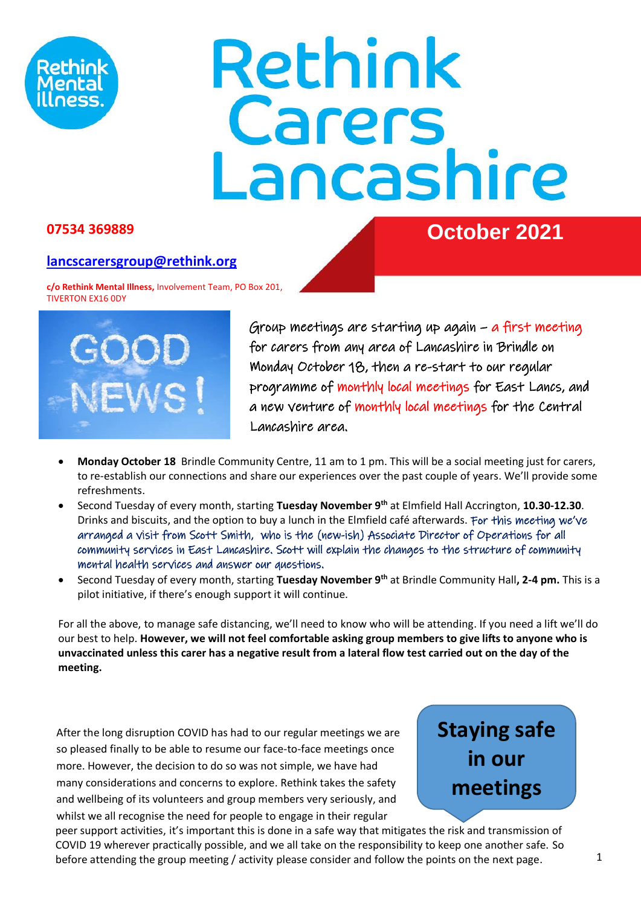

# Rethink **Carers<br>Lancashire**

#### **07534 369889 October 2021**

#### **[lancscarersgroup@rethink.org](mailto:lancscarersgroup@rethink.org)**

**c/o Rethink Mental Illness,** Involvement Team, PO Box 201, TIVERTON EX16 0DY



Group meetings are starting up again – a first meeting for carers from any area of Lancashire in Brindle on Monday October 18, then a re-start to our regular programme of monthly local meetings for East Lancs, and a new venture of monthly local meetings for the Central Lancashire area.

- **Monday October 18** Brindle Community Centre, 11 am to 1 pm. This will be a social meeting just for carers, to re-establish our connections and share our experiences over the past couple of years. We'll provide some refreshments.
- Second Tuesday of every month, starting **Tuesday November 9th** at Elmfield Hall Accrington, **10.30-12.30**. Drinks and biscuits, and the option to buy a lunch in the Elmfield café afterwards. For this meeting we've arranged a visit from Scott Smith, who is the (new-ish) Associate Director of Operations for all community services in East Lancashire. Scott will explain the changes to the structure of community mental health services and answer our questions.
- Second Tuesday of every month, starting **Tuesday November 9th** at Brindle Community Hall**, 2-4 pm.** This is a pilot initiative, if there's enough support it will continue.

For all the above, to manage safe distancing, we'll need to know who will be attending. If you need a lift we'll do our best to help. **However, we will not feel comfortable asking group members to give lifts to anyone who is unvaccinated unless this carer has a negative result from a lateral flow test carried out on the day of the meeting.** 

After the long disruption COVID has had to our regular meetings we are so pleased finally to be able to resume our face-to-face meetings once more. However, the decision to do so was not simple, we have had many considerations and concerns to explore. Rethink takes the safety and wellbeing of its volunteers and group members very seriously, and whilst we all recognise the need for people to engage in their regular

**Staying safe in our meetings**

peer support activities, it's important this is done in a safe way that mitigates the risk and transmission of COVID 19 wherever practically possible, and we all take on the responsibility to keep one another safe. So before attending the group meeting / activity please consider and follow the points on the next page.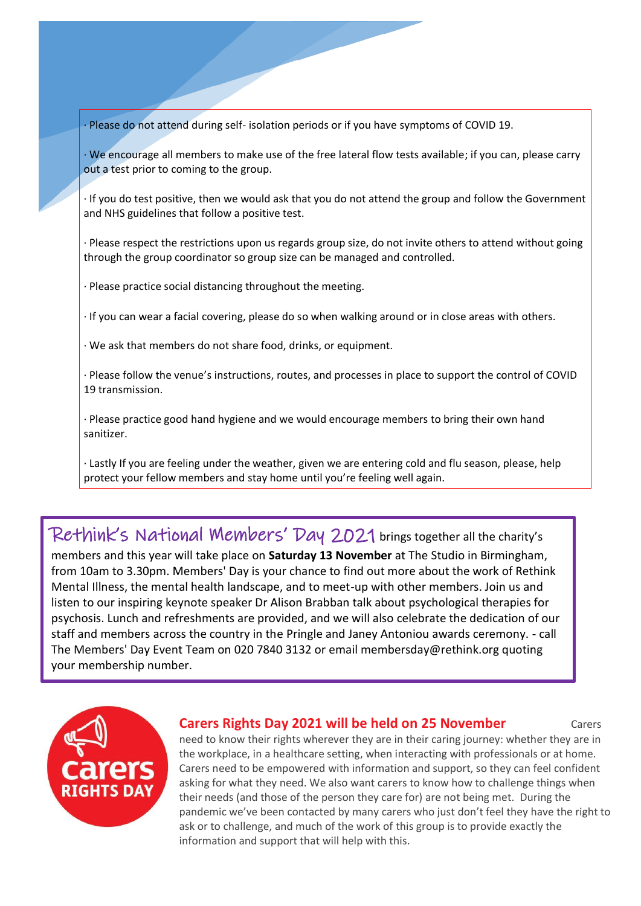· Please do not attend during self- isolation periods or if you have symptoms of COVID 19.

· We encourage all members to make use of the free lateral flow tests available; if you can, please carry out a test prior to coming to the group.

· If you do test positive, then we would ask that you do not attend the group and follow the Government and NHS guidelines that follow a positive test.

· Please respect the restrictions upon us regards group size, do not invite others to attend without going through the group coordinator so group size can be managed and controlled.

· Please practice social distancing throughout the meeting.

· If you can wear a facial covering, please do so when walking around or in close areas with others.

· We ask that members do not share food, drinks, or equipment.

· Please follow the venue's instructions, routes, and processes in place to support the control of COVID 19 transmission.

· Please practice good hand hygiene and we would encourage members to bring their own hand sanitizer.

· Lastly If you are feeling under the weather, given we are entering cold and flu season, please, help protect your fellow members and stay home until you're feeling well again.

Rethink's National Members' Day 2021 brings together all the charity's members and this year will take place on **Saturday 13 November** at The Studio in Birmingham, from 10am to 3.30pm. Members' Day is your chance to find out more about the work of Rethink Mental Illness, the mental health landscape, and to meet-up with other members. Join us and listen to our inspiring keynote speaker Dr Alison Brabban talk about psychological therapies for psychosis. Lunch and refreshments are provided, and we will also celebrate the dedication of our staff and members across the country in the Pringle and Janey Antoniou awards ceremony. - call The Members' Day Event Team on 020 7840 3132 or email membersday@rethink.org quoting your membership number.



#### **Carers Rights Day 2021 will be held on 25 November** Carers

need to know their rights wherever they are in their caring journey: whether they are in the workplace, in a healthcare setting, when interacting with professionals or at home. Carers need to be empowered with information and support, so they can feel confident asking for what they need. We also want carers to know how to challenge things when their needs (and those of the person they care for) are not being met. During the pandemic we've been contacted by many carers who just don't feel they have the right to ask or to challenge, and much of the work of this group is to provide exactly the information and support that will help with this.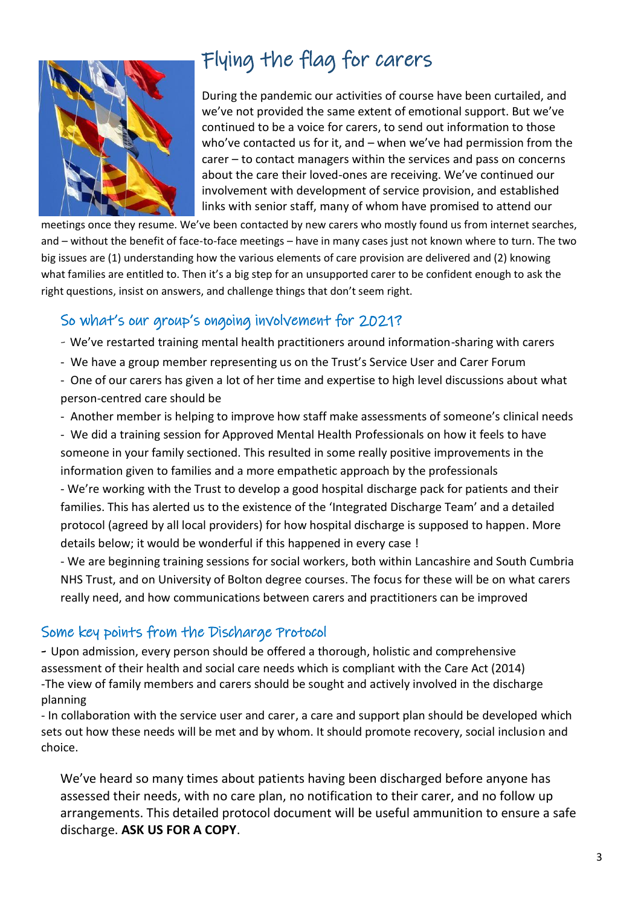

# Flying the flag for carers

During the pandemic our activities of course have been curtailed, and we've not provided the same extent of emotional support. But we've continued to be a voice for carers, to send out information to those who've contacted us for it, and – when we've had permission from the carer – to contact managers within the services and pass on concerns about the care their loved-ones are receiving. We've continued our involvement with development of service provision, and established links with senior staff, many of whom have promised to attend our

meetings once they resume. We've been contacted by new carers who mostly found us from internet searches, and – without the benefit of face-to-face meetings – have in many cases just not known where to turn. The two big issues are (1) understanding how the various elements of care provision are delivered and (2) knowing what families are entitled to. Then it's a big step for an unsupported carer to be confident enough to ask the right questions, insist on answers, and challenge things that don't seem right.

## So what's our group's ongoing involvement for 2021?

- We've restarted training mental health practitioners around information-sharing with carers
- We have a group member representing us on the Trust's Service User and Carer Forum

- One of our carers has given a lot of her time and expertise to high level discussions about what person-centred care should be

- Another member is helping to improve how staff make assessments of someone's clinical needs

- We did a training session for Approved Mental Health Professionals on how it feels to have someone in your family sectioned. This resulted in some really positive improvements in the information given to families and a more empathetic approach by the professionals

- We're working with the Trust to develop a good hospital discharge pack for patients and their families. This has alerted us to the existence of the 'Integrated Discharge Team' and a detailed protocol (agreed by all local providers) for how hospital discharge is supposed to happen. More details below; it would be wonderful if this happened in every case !

- We are beginning training sessions for social workers, both within Lancashire and South Cumbria NHS Trust, and on University of Bolton degree courses. The focus for these will be on what carers really need, and how communications between carers and practitioners can be improved

## Some key points from the Discharge Protocol

- Upon admission, every person should be offered a thorough, holistic and comprehensive assessment of their health and social care needs which is compliant with the Care Act (2014) -The view of family members and carers should be sought and actively involved in the discharge planning

- In collaboration with the service user and carer, a care and support plan should be developed which sets out how these needs will be met and by whom. It should promote recovery, social inclusion and choice.

We've heard so many times about patients having been discharged before anyone has assessed their needs, with no care plan, no notification to their carer, and no follow up arrangements. This detailed protocol document will be useful ammunition to ensure a safe discharge. **ASK US FOR A COPY**.